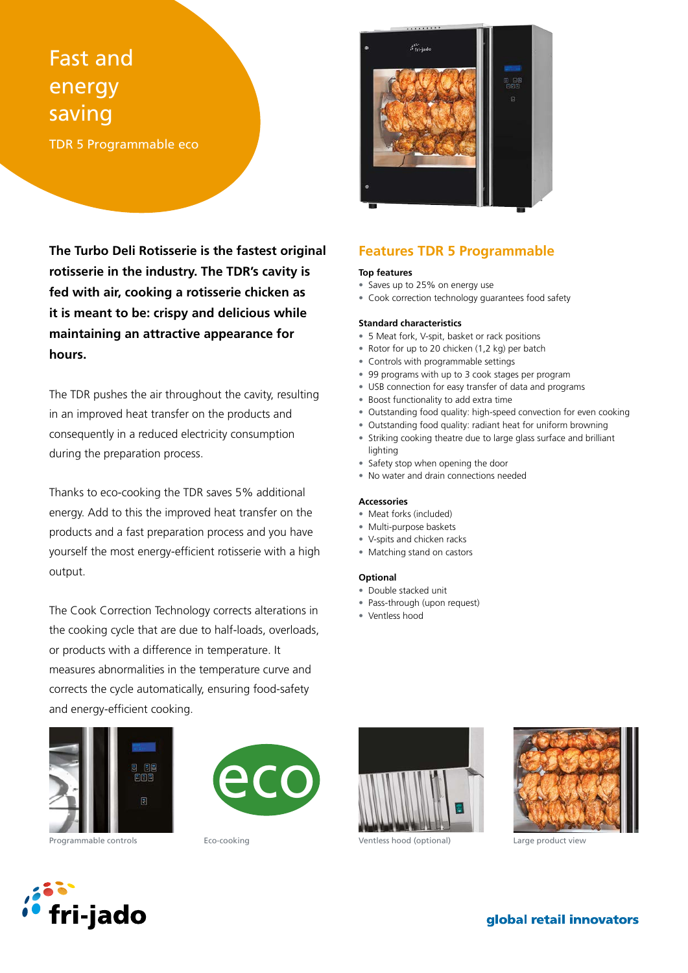# Fast and energy saving

TDR 5 Programmable eco

**The Turbo Deli Rotisserie is the fastest original rotisserie in the industry. The TDR's cavity is fed with air, cooking a rotisserie chicken as it is meant to be: crispy and delicious while maintaining an attractive appearance for hours.**

The TDR pushes the air throughout the cavity, resulting in an improved heat transfer on the products and consequently in a reduced electricity consumption during the preparation process.

Thanks to eco-cooking the TDR saves 5% additional energy. Add to this the improved heat transfer on the products and a fast preparation process and you have yourself the most energy-efficient rotisserie with a high output.

The Cook Correction Technology corrects alterations in the cooking cycle that are due to half-loads, overloads, or products with a difference in temperature. It measures abnormalities in the temperature curve and corrects the cycle automatically, ensuring food-safety and energy-efficient cooking.







# **Features TDR 5 Programmable**

## **Top features**

- Saves up to 25% on energy use
- Cook correction technology guarantees food safety

#### **Standard characteristics**

- 5 Meat fork, V-spit, basket or rack positions
- Rotor for up to 20 chicken (1,2 kg) per batch
- Controls with programmable settings
- 99 programs with up to 3 cook stages per program
- USB connection for easy transfer of data and programs
- Boost functionality to add extra time
- Outstanding food quality: high-speed convection for even cooking
- Outstanding food quality: radiant heat for uniform browning
- Striking cooking theatre due to large glass surface and brilliant lighting
- Safety stop when opening the door
- No water and drain connections needed

#### **Accessories**

- Meat forks (included)
- Multi-purpose baskets
- V-spits and chicken racks
- Matching stand on castors

#### **Optional**

- Double stacked unit
- Pass-through (upon request)
- Ventless hood





Programmable controls **Eco-cooking** Eco-cooking Ventless hood (optional) Large product view



global retail innovators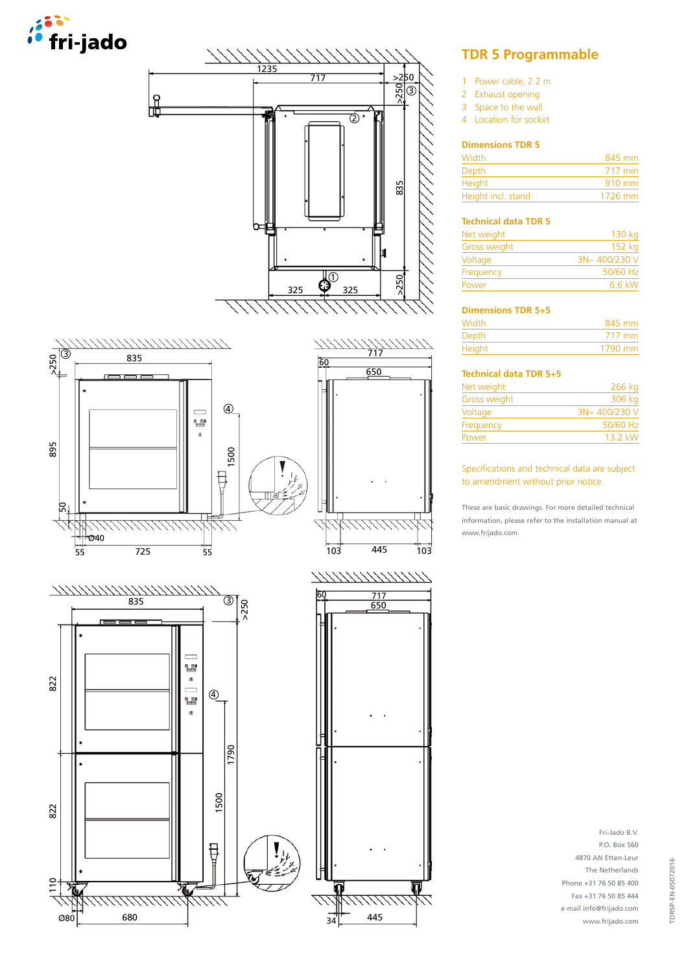





# **TDR 5 Programmable**

- 1 Power cable, 2.2 m
- 2 Exhaust opening
- 3 Space to the wall
- 4 Location for socket

## **Dimensions TDR 5**

| Width              | 845 mm           |
|--------------------|------------------|
| Depth              | 717 mm           |
| Height             | $910 \text{ mm}$ |
| Height incl. stand | $1726$ mm        |

## **Technical data TDR 5**

| 130 kg       |
|--------------|
| 152 kg       |
| 3N~400/230 V |
| 50/60 Hz     |
| 6.6 kW       |
|              |

## **Dimensions TDR 5+5**

| <b>Width</b>  | 845 mm  |
|---------------|---------|
| <b>Depth</b>  | 717 mm  |
| <b>Height</b> | 1790 mm |

# **Technical data TDR 5+5**

| Net weight   | 266 kg       |
|--------------|--------------|
| Gross weight | 306 kg       |
| Voltage      | 3N~400/230 V |
| Frequency    | 50/60 Hz     |
| Power        | 13 2 kW      |
|              |              |

## Specifications and technical data are subject to amendment without prior notice.

These are basic drawings. For more detailed technical information, please refer to the installation manual at www.frijado.com.

> Fri-Jado B.V. P.O. Box 560 4870 AN Etten-Leur The Netherlands Phone +31 76 50 85 400 Fax +31 76 50 85 444 e-mail info@frijado.com www.frijado.com

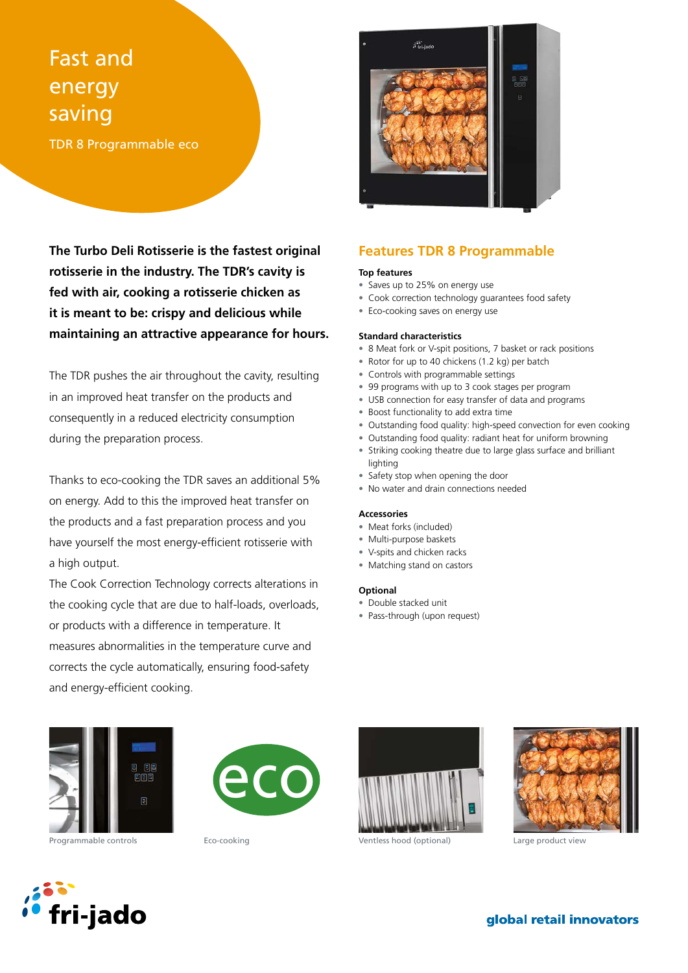# Fast and energy saving

TDR 8 Programmable eco

**The Turbo Deli Rotisserie is the fastest original rotisserie in the industry. The TDR's cavity is fed with air, cooking a rotisserie chicken as it is meant to be: crispy and delicious while maintaining an attractive appearance for hours.**

The TDR pushes the air throughout the cavity, resulting in an improved heat transfer on the products and consequently in a reduced electricity consumption during the preparation process.

Thanks to eco-cooking the TDR saves an additional 5% on energy. Add to this the improved heat transfer on the products and a fast preparation process and you have yourself the most energy-efficient rotisserie with a high output.

The Cook Correction Technology corrects alterations in the cooking cycle that are due to half-loads, overloads, or products with a difference in temperature. It measures abnormalities in the temperature curve and corrects the cycle automatically, ensuring food-safety and energy-efficient cooking.



# **Features TDR 8 Programmable**

## **Top features**

- Saves up to 25% on energy use
- Cook correction technology guarantees food safety
- Eco-cooking saves on energy use

### **Standard characteristics**

- 8 Meat fork or V-spit positions, 7 basket or rack positions
- Rotor for up to 40 chickens (1.2 kg) per batch
- Controls with programmable settings
- 99 programs with up to 3 cook stages per program
- USB connection for easy transfer of data and programs
- Boost functionality to add extra time
- Outstanding food quality: high-speed convection for even cooking
- Outstanding food quality: radiant heat for uniform browning
- Striking cooking theatre due to large glass surface and brilliant lighting
- Safety stop when opening the door
- No water and drain connections needed

### **Accessories**

- Meat forks (included)
- Multi-purpose baskets
- V-spits and chicken racks
- Matching stand on castors

## **Optional**

- Double stacked unit
- Pass-through (upon request)









Programmable controls **Eco-cooking** Eco-cooking Ventless hood (optional) Large product view



# global retail innovators